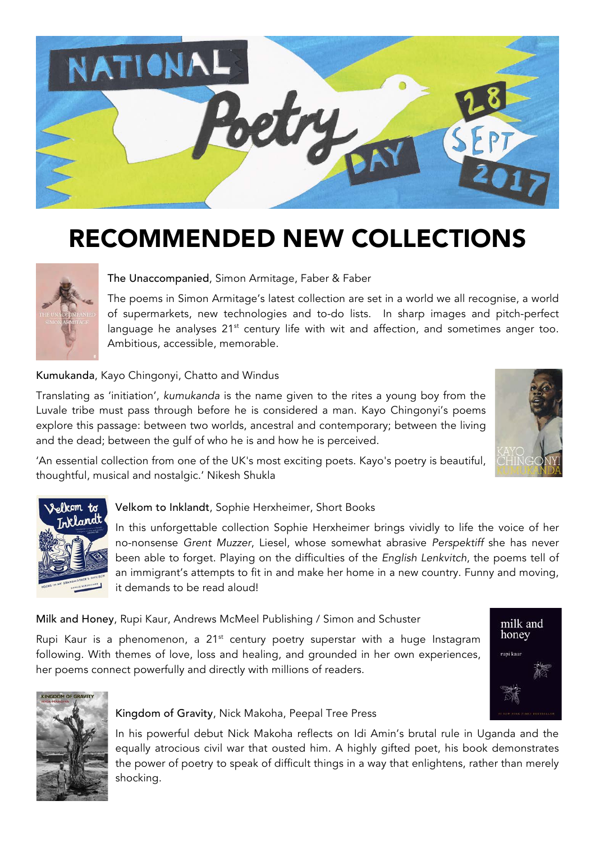

## RECOMMENDED NEW COLLECTIONS



#### The Unaccompanied, Simon Armitage, Faber & Faber

The poems in Simon Armitage's latest collection are set in a world we all recognise, a world of supermarkets, new technologies and to-do lists. In sharp images and pitch-perfect language he analyses  $21^{st}$  century life with wit and affection, and sometimes anger too. Ambitious, accessible, memorable.

#### Kumukanda, Kayo Chingonyi, Chatto and Windus

Translating as 'initiation', *kumukanda* is the name given to the rites a young boy from the Luvale tribe must pass through before he is considered a man. Kayo Chingonyi's poems explore this passage: between two worlds, ancestral and contemporary; between the living and the dead; between the gulf of who he is and how he is perceived.



'An essential collection from one of the UK's most exciting poets. Kayo's poetry is beautiful, thoughtful, musical and nostalgic.' Nikesh Shukla



#### Velkom to Inklandt, Sophie Herxheimer, Short Books

In this unforgettable collection Sophie Herxheimer brings vividly to life the voice of her no-nonsense *Grent Muzzer*, Liesel, whose somewhat abrasive *Perspektiff* she has never been able to forget. Playing on the difficulties of the *English Lenkvitch*, the poems tell of an immigrant's attempts to fit in and make her home in a new country. Funny and moving, it demands to be read aloud!

Milk and Honey, Rupi Kaur, Andrews McMeel Publishing / Simon and Schuster

Rupi Kaur is a phenomenon, a  $21<sup>st</sup>$  century poetry superstar with a huge Instagram following. With themes of love, loss and healing, and grounded in her own experiences, her poems connect powerfully and directly with millions of readers.





#### Kingdom of Gravity, Nick Makoha, Peepal Tree Press

In his powerful debut Nick Makoha reflects on Idi Amin's brutal rule in Uganda and the equally atrocious civil war that ousted him. A highly gifted poet, his book demonstrates the power of poetry to speak of difficult things in a way that enlightens, rather than merely shocking.